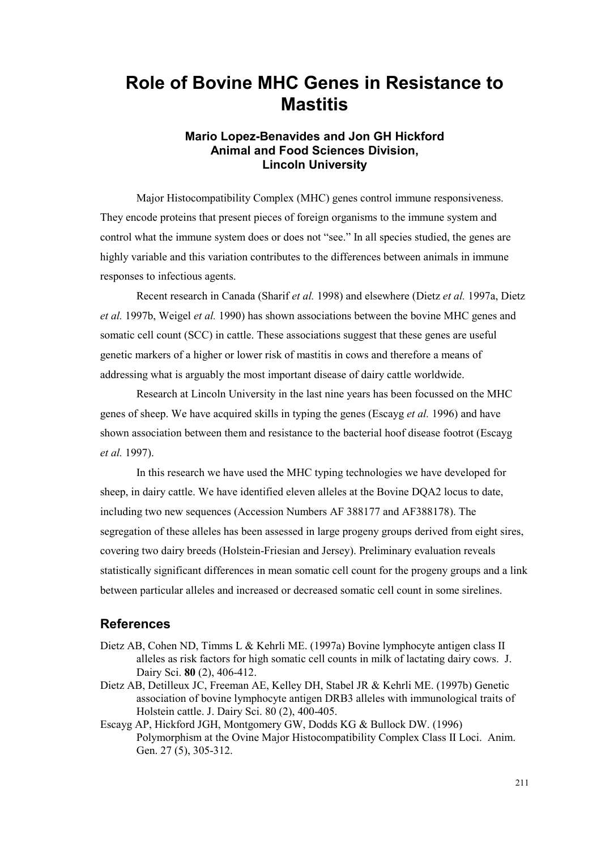## **Role of Bovine MHC Genes in Resistance to Mastitis**

## **Mario Lopez-Benavides and Jon GH Hickford Animal and Food Sciences Division, Lincoln University**

Major Histocompatibility Complex (MHC) genes control immune responsiveness. They encode proteins that present pieces of foreign organisms to the immune system and control what the immune system does or does not "see." In all species studied, the genes are highly variable and this variation contributes to the differences between animals in immune responses to infectious agents.

Recent research in Canada (Sharif *et al.* 1998) and elsewhere (Dietz *et al.* 1997a, Dietz *et al.* 1997b, Weigel *et al.* 1990) has shown associations between the bovine MHC genes and somatic cell count (SCC) in cattle. These associations suggest that these genes are useful genetic markers of a higher or lower risk of mastitis in cows and therefore a means of addressing what is arguably the most important disease of dairy cattle worldwide.

Research at Lincoln University in the last nine years has been focussed on the MHC genes of sheep. We have acquired skills in typing the genes (Escayg *et al.* 1996) and have shown association between them and resistance to the bacterial hoof disease footrot (Escayg *et al.* 1997).

 In this research we have used the MHC typing technologies we have developed for sheep, in dairy cattle. We have identified eleven alleles at the Bovine DQA2 locus to date, including two new sequences (Accession Numbers AF 388177 and AF388178). The segregation of these alleles has been assessed in large progeny groups derived from eight sires, covering two dairy breeds (Holstein-Friesian and Jersey). Preliminary evaluation reveals statistically significant differences in mean somatic cell count for the progeny groups and a link between particular alleles and increased or decreased somatic cell count in some sirelines.

## **References**

- Dietz AB, Cohen ND, Timms L & Kehrli ME. (1997a) Bovine lymphocyte antigen class II alleles as risk factors for high somatic cell counts in milk of lactating dairy cows. J. Dairy Sci. **80** (2), 406-412.
- Dietz AB, Detilleux JC, Freeman AE, Kelley DH, Stabel JR & Kehrli ME. (1997b) Genetic association of bovine lymphocyte antigen DRB3 alleles with immunological traits of Holstein cattle. J. Dairy Sci. 80 (2), 400-405.
- Escayg AP, Hickford JGH, Montgomery GW, Dodds KG & Bullock DW. (1996) Polymorphism at the Ovine Major Histocompatibility Complex Class II Loci. Anim. Gen. 27 (5), 305-312.